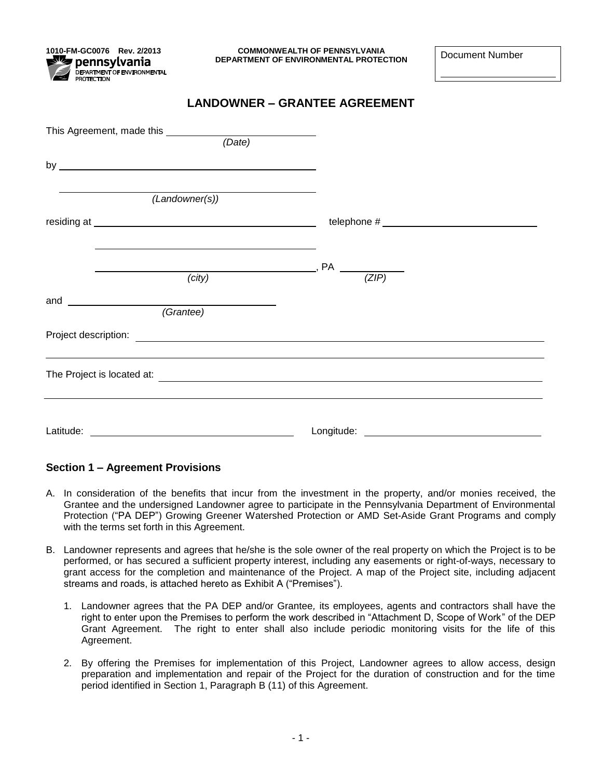pennsvlvania **PUTTING & CHILICA**<br>DEPARTMENT OF ENVIRONMENTAL<br>PROTECTION

**1010-FM-GC0076 Rev. 2/2013 COMMONWEALTH OF PENNSYLVANIA DEPARTMENT OF ENVIRONMENTAL PROTECTION** DEPARTMENT OF ENVIRONMENTAL PROTECTION

### **LANDOWNER – GRANTEE AGREEMENT**

|                             | (Date)                                                                         |
|-----------------------------|--------------------------------------------------------------------------------|
| by $\overline{\phantom{a}}$ |                                                                                |
|                             |                                                                                |
| (Landowner(s))              |                                                                                |
|                             |                                                                                |
|                             |                                                                                |
|                             | $\frac{1}{z}$ (ZIP)                                                            |
| (city)                      |                                                                                |
| and                         |                                                                                |
| $\overline{G}$ rantee)      |                                                                                |
|                             |                                                                                |
|                             |                                                                                |
|                             | The Project is located at: <b>with a control of the Project is located at:</b> |
|                             |                                                                                |
|                             |                                                                                |
|                             |                                                                                |

#### **Section 1 – Agreement Provisions**

- A. In consideration of the benefits that incur from the investment in the property, and/or monies received, the Grantee and the undersigned Landowner agree to participate in the Pennsylvania Department of Environmental Protection ("PA DEP") Growing Greener Watershed Protection or AMD Set-Aside Grant Programs and comply with the terms set forth in this Agreement.
- B. Landowner represents and agrees that he/she is the sole owner of the real property on which the Project is to be performed, or has secured a sufficient property interest, including any easements or right-of-ways, necessary to grant access for the completion and maintenance of the Project. A map of the Project site, including adjacent streams and roads, is attached hereto as Exhibit A ("Premises").
	- 1. Landowner agrees that the PA DEP and/or Grantee*,* its employees, agents and contractors shall have the right to enter upon the Premises to perform the work described in "Attachment D, Scope of Work" of the DEP Grant Agreement. The right to enter shall also include periodic monitoring visits for the life of this Agreement.
	- 2. By offering the Premises for implementation of this Project, Landowner agrees to allow access, design preparation and implementation and repair of the Project for the duration of construction and for the time period identified in Section 1, Paragraph B (11) of this Agreement.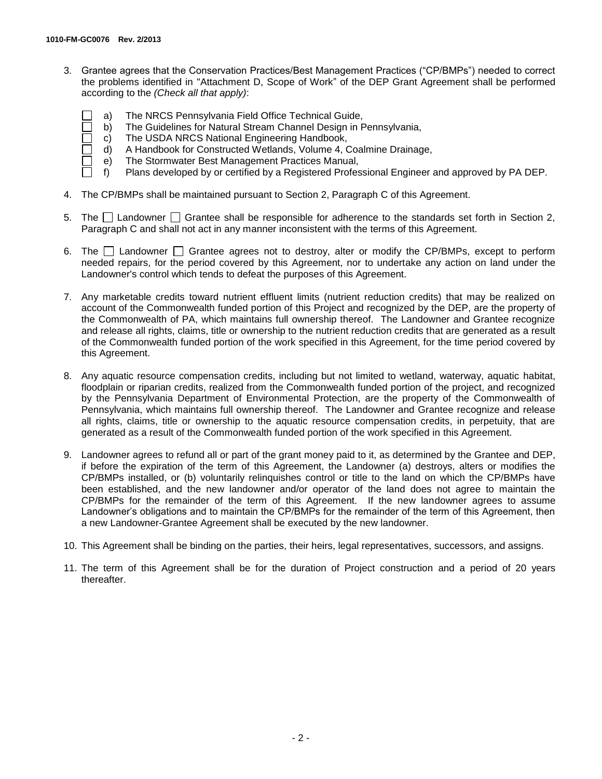- 3. Grantee agrees that the Conservation Practices/Best Management Practices ("CP/BMPs") needed to correct the problems identified in "Attachment D, Scope of Work" of the DEP Grant Agreement shall be performed according to the *(Check all that apply)*:
	- a) The NRCS Pennsylvania Field Office Technical Guide,
	- b) The Guidelines for Natural Stream Channel Design in Pennsylvania,
	- c) The USDA NRCS National Engineering Handbook,
	- d) A Handbook for Constructed Wetlands, Volume 4, Coalmine Drainage,
	- e) The Stormwater Best Management Practices Manual,
	- f) Plans developed by or certified by a Registered Professional Engineer and approved by PA DEP.
- 4. The CP/BMPs shall be maintained pursuant to Section 2, Paragraph C of this Agreement.
- 5. The  $\Box$  Landowner  $\Box$  Grantee shall be responsible for adherence to the standards set forth in Section 2, Paragraph C and shall not act in any manner inconsistent with the terms of this Agreement.
- 6. The  $\Box$  Landowner  $\Box$  Grantee agrees not to destroy, alter or modify the CP/BMPs, except to perform needed repairs, for the period covered by this Agreement, nor to undertake any action on land under the Landowner's control which tends to defeat the purposes of this Agreement.
- 7. Any marketable credits toward nutrient effluent limits (nutrient reduction credits) that may be realized on account of the Commonwealth funded portion of this Project and recognized by the DEP, are the property of the Commonwealth of PA, which maintains full ownership thereof. The Landowner and Grantee recognize and release all rights, claims, title or ownership to the nutrient reduction credits that are generated as a result of the Commonwealth funded portion of the work specified in this Agreement, for the time period covered by this Agreement.
- 8. Any aquatic resource compensation credits, including but not limited to wetland, waterway, aquatic habitat, floodplain or riparian credits, realized from the Commonwealth funded portion of the project, and recognized by the Pennsylvania Department of Environmental Protection, are the property of the Commonwealth of Pennsylvania, which maintains full ownership thereof. The Landowner and Grantee recognize and release all rights, claims, title or ownership to the aquatic resource compensation credits, in perpetuity, that are generated as a result of the Commonwealth funded portion of the work specified in this Agreement.
- 9. Landowner agrees to refund all or part of the grant money paid to it, as determined by the Grantee and DEP, if before the expiration of the term of this Agreement, the Landowner (a) destroys, alters or modifies the CP/BMPs installed, or (b) voluntarily relinquishes control or title to the land on which the CP/BMPs have been established, and the new landowner and/or operator of the land does not agree to maintain the CP/BMPs for the remainder of the term of this Agreement. If the new landowner agrees to assume Landowner's obligations and to maintain the CP/BMPs for the remainder of the term of this Agreement, then a new Landowner-Grantee Agreement shall be executed by the new landowner.
- 10. This Agreement shall be binding on the parties, their heirs, legal representatives, successors, and assigns.
- 11. The term of this Agreement shall be for the duration of Project construction and a period of 20 years thereafter.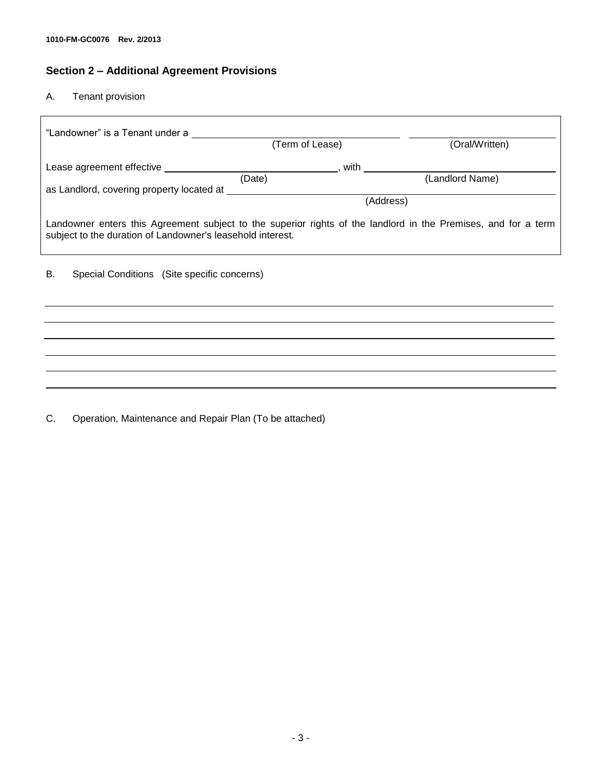# **Section 2 – Additional Agreement Provisions**

#### A. Tenant provision

| "Landowner" is a Tenant under a                                                                                                                                                                                                      |                            |                 |  |  |
|--------------------------------------------------------------------------------------------------------------------------------------------------------------------------------------------------------------------------------------|----------------------------|-----------------|--|--|
|                                                                                                                                                                                                                                      | (Term of Lease)            | (Oral/Written)  |  |  |
| Lease agreement effective <b>Exercise Access and Contract and Contract and Contract and Contract and Contract and Contract and Contract and Contract and Contract and Contract and Contract and Contract and Contract and Contra</b> | ____________________, with |                 |  |  |
|                                                                                                                                                                                                                                      | (Date)                     | (Landlord Name) |  |  |
|                                                                                                                                                                                                                                      | (Address)                  |                 |  |  |
| Landowner enters this Agreement subject to the superior rights of the landlord in the Premises, and for a term<br>subject to the duration of Landowner's leasehold interest.                                                         |                            |                 |  |  |
| Special Conditions (Site specific concerns)<br>В.                                                                                                                                                                                    |                            |                 |  |  |
|                                                                                                                                                                                                                                      |                            |                 |  |  |
|                                                                                                                                                                                                                                      |                            |                 |  |  |
|                                                                                                                                                                                                                                      |                            |                 |  |  |
|                                                                                                                                                                                                                                      |                            |                 |  |  |

C. Operation, Maintenance and Repair Plan (To be attached)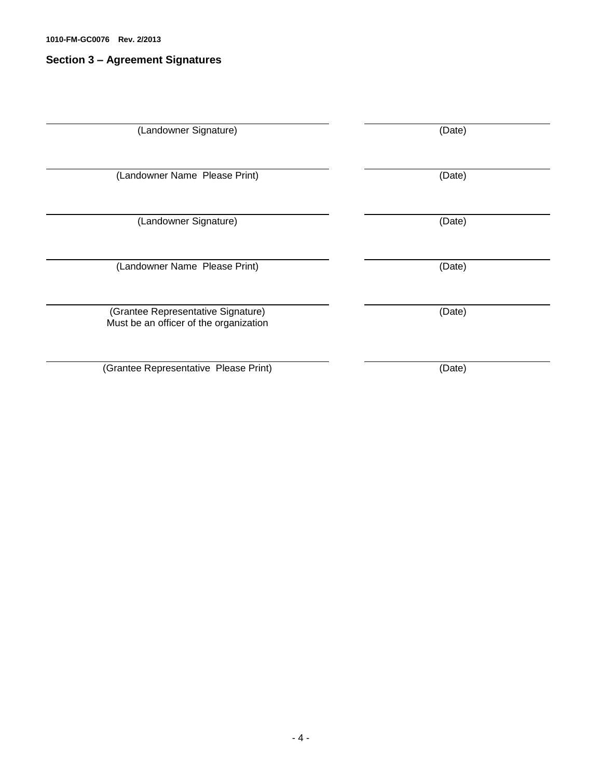## **Section 3 – Agreement Signatures**

| (Landowner Signature)                                                        | (Date) |
|------------------------------------------------------------------------------|--------|
| (Landowner Name Please Print)                                                | (Date) |
| (Landowner Signature)                                                        | (Date) |
| (Landowner Name Please Print)                                                | (Date) |
| (Grantee Representative Signature)<br>Must be an officer of the organization | (Date) |
| (Grantee Representative Please Print)                                        | (Date) |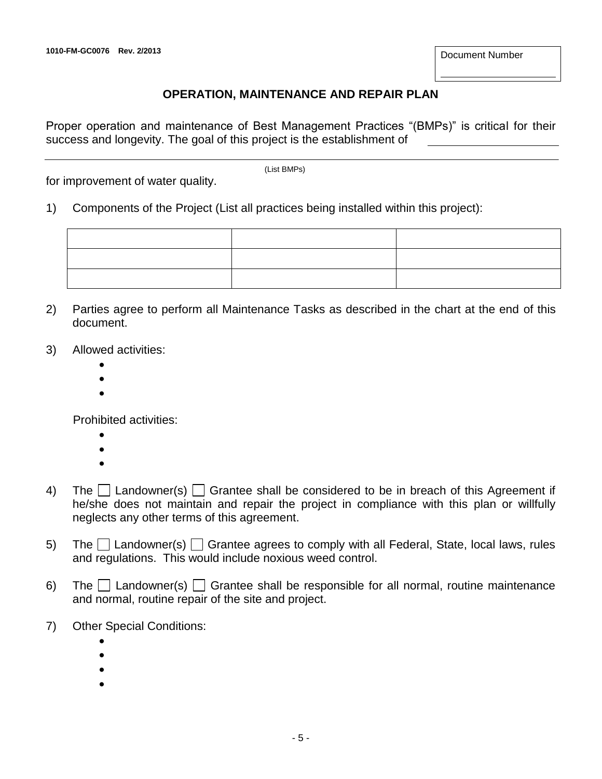## **OPERATION, MAINTENANCE AND REPAIR PLAN**

Proper operation and maintenance of Best Management Practices "(BMPs)" is critical for their success and longevity. The goal of this project is the establishment of

for improvement of water quality.

(List BMPs)

1) Components of the Project (List all practices being installed within this project):

- 2) Parties agree to perform all Maintenance Tasks as described in the chart at the end of this document.
- 3) Allowed activities:
	- $\bullet$
	- $\bullet$
	- $\bullet$

Prohibited activities:

- $\bullet$ 
	-
- $\bullet$  $\bullet$
- 4) The  $\Box$  Landowner(s)  $\Box$  Grantee shall be considered to be in breach of this Agreement if he/she does not maintain and repair the project in compliance with this plan or willfully neglects any other terms of this agreement.
- 5) The  $\Box$  Landowner(s)  $\Box$  Grantee agrees to comply with all Federal, State, local laws, rules and regulations. This would include noxious weed control.
- 6) The  $\Box$  Landowner(s)  $\Box$  Grantee shall be responsible for all normal, routine maintenance and normal, routine repair of the site and project.
- 7) Other Special Conditions:
	- $\bullet$  $\bullet$
	-
	- $\bullet$
	- $\bullet$